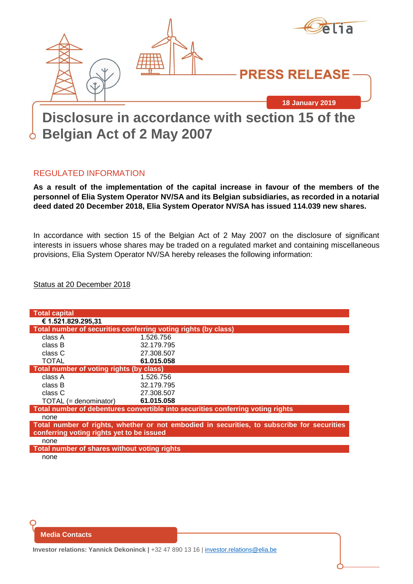

# **Belgian Act of 2 May 2007**

#### REGULATED INFORMATION

**As a result of the implementation of the capital increase in favour of the members of the personnel of Elia System Operator NV/SA and its Belgian subsidiaries, as recorded in a notarial deed dated 20 December 2018, Elia System Operator NV/SA has issued 114.039 new shares.**

In accordance with section 15 of the Belgian Act of 2 May 2007 on the disclosure of significant interests in issuers whose shares may be traded on a regulated market and containing miscellaneous provisions, Elia System Operator NV/SA hereby releases the following information:

Status at 20 December 2018

| <b>Total capital</b>                                                                       |            |
|--------------------------------------------------------------------------------------------|------------|
| € 1.521.829.295,31                                                                         |            |
| Total number of securities conferring voting rights (by class)                             |            |
| class A                                                                                    | 1.526.756  |
| class B                                                                                    | 32.179.795 |
| class C                                                                                    | 27.308.507 |
| <b>TOTAL</b>                                                                               | 61.015.058 |
| Total number of voting rights (by class)                                                   |            |
| class A                                                                                    | 1.526.756  |
| class B                                                                                    | 32.179.795 |
| class C                                                                                    | 27.308.507 |
| $\mathsf{TOTAL}$ (= denominator)                                                           | 61.015.058 |
| Total number of debentures convertible into securities conferring voting rights            |            |
| none                                                                                       |            |
| Total number of rights, whether or not embodied in securities, to subscribe for securities |            |
| conferring voting rights yet to be issued                                                  |            |
| none                                                                                       |            |
| Total number of shares without voting rights                                               |            |
| none                                                                                       |            |